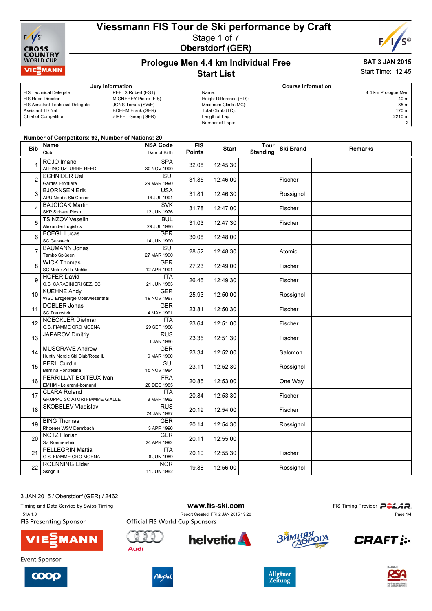



# Prologue Men 4.4 km Individual Free

#### SAT 3 JAN 2015 Start Time: 12:45

#### Start List

|                                         | Jury Information         | <b>Course Information</b> |                     |  |
|-----------------------------------------|--------------------------|---------------------------|---------------------|--|
| FIS Technical Delegate                  | PEETS Robert (EST)       | Name:                     | 4.4 km Prologue Men |  |
| <b>FIS Race Director</b>                | MIGNEREY Pierre (FIS)    | Height Difference (HD):   | 40 m                |  |
| <b>FIS Assistant Technical Delegate</b> | JONS Tomas (SWE)         | Maximum Climb (MC):       | 35 m                |  |
| Assistant TD Nat.                       | <b>BOEHM Frank (GER)</b> | Total Climb (TC):         | 170 m               |  |
| <b>Chief of Competition</b>             | ZIPFEL Georg (GER)       | Length of Lap:            | 2210 m              |  |
|                                         |                          | Number of Laps:           | 2 <sub>1</sub>      |  |

#### Number of Competitors: 93, Number of Nations: 20

| <b>Bib</b>     | Name<br>Club                                                | <b>NSA Code</b><br>Date of Birth       | <b>FIS</b><br><b>Points</b> | <b>Start</b> | Tour<br><b>Standing</b> | <b>Ski Brand</b> | <b>Remarks</b> |
|----------------|-------------------------------------------------------------|----------------------------------------|-----------------------------|--------------|-------------------------|------------------|----------------|
| 1              | ROJO Imanol<br>ALPINO UZTURRE-RFEDI                         | <b>SPA</b><br>30 NOV 1990              | 32.08                       | 12:45:30     |                         |                  |                |
| $\overline{2}$ | <b>SCHNIDER Ueli</b><br>Gardes Frontiere                    | $\overline{\text{SUI}}$<br>29 MAR 1990 | 31.85                       | 12:46:00     |                         | Fischer          |                |
| 3              | <b>BJORNSEN Erik</b><br>APU Nordic Ski Center               | <b>USA</b><br>14 JUL 1991              | 31.81                       | 12:46:30     |                         | Rossignol        |                |
| 4              | <b>BAJCICAK Martin</b><br>SKP Strbske Pleso                 | <b>SVK</b><br>12 JUN 1976              | 31.78                       | 12:47:00     |                         | Fischer          |                |
| 5              | <b>TSINZOV Veselin</b><br>Alexander Logistics               | <b>BUL</b><br>29 JUL 1986              | 31.03                       | 12:47:30     |                         | Fischer          |                |
| 6              | <b>BOEGL Lucas</b><br>SC Gaissach                           | <b>GER</b><br>14 JUN 1990              | 30.08                       | 12:48:00     |                         |                  |                |
| $\overline{7}$ | <b>BAUMANN Jonas</b><br>Tambo Splügen                       | SUI<br>27 MAR 1990                     | 28.52                       | 12:48:30     |                         | Atomic           |                |
| 8              | <b>WICK Thomas</b><br>SC Motor Zella-Mehlis                 | <b>GER</b><br>12 APR 1991              | 27.23                       | 12:49:00     |                         | Fischer          |                |
| 9              | <b>HOFER David</b><br>C.S. CARABINIERI SEZ. SCI             | <b>ITA</b><br>21 JUN 1983              | 26.46                       | 12:49:30     |                         | Fischer          |                |
| 10             | <b>KUEHNE Andy</b><br><b>WSC Erzgebirge Oberwiesenthal</b>  | <b>GER</b><br>19 NOV 1987              | 25.93                       | 12:50:00     |                         | Rossignol        |                |
| 11             | DOBLER Jonas<br><b>SC Traunstein</b>                        | <b>GER</b><br>4 MAY 1991               | 23.81                       | 12:50:30     |                         | Fischer          |                |
| 12             | NOECKLER Dietmar<br>G.S. FIAMME ORO MOENA                   | <b>ITA</b><br>29 SEP 1988              | 23.64                       | 12:51:00     |                         | Fischer          |                |
| 13             | <b>JAPAROV Dmitriy</b>                                      | RUS<br>1 JAN 1986                      | 23.35                       | 12:51:30     |                         | Fischer          |                |
| 14             | <b>MUSGRAVE Andrew</b><br>Huntly Nordic Ski Club/Roea IL    | <b>GBR</b><br>6 MAR 1990               | 23.34                       | 12:52:00     |                         | Salomon          |                |
| 15             | <b>PERL Curdin</b><br>Bernina Pontresina                    | <b>SUI</b><br>15 NOV 1984              | 23.11                       | 12:52:30     |                         | Rossignol        |                |
| 16             | PERRILLAT BOITEUX Ivan<br>EMHM - Le grand-bornand           | <b>FRA</b><br>28 DEC 1985              | 20.85                       | 12:53:00     |                         | One Way          |                |
| 17             | <b>CLARA Roland</b><br><b>GRUPPO SCIATORI FIAMME GIALLE</b> | <b>ITA</b><br>8 MAR 1982               | 20.84                       | 12:53:30     |                         | Fischer          |                |
| 18             | SKOBELEV Vladislav                                          | RUS<br>24 JAN 1987                     | 20.19                       | 12:54:00     |                         | Fischer          |                |
| 19             | <b>BING Thomas</b><br>Rhoener WSV Dermbach                  | <b>GER</b><br>3 APR 1990               | 20.14                       | 12:54:30     |                         | Rossignol        |                |
| 20             | <b>NOTZ Florian</b><br>SZ Roemerstein                       | <b>GER</b><br>24 APR 1992              | 20.11                       | 12:55:00     |                         |                  |                |
| 21             | <b>PELLEGRIN Mattia</b><br>G.S. FIAMME ORO MOENA            | <b>ITA</b><br>8 JUN 1989               | 20.10                       | 12:55:30     |                         | Fischer          |                |
| 22             | ROENNING Eldar<br>Skogn IL                                  | <b>NOR</b><br>11 JUN 1982              | 19.88                       | 12:56:00     |                         | Rossignol        |                |



| Timing and Data Service by Swiss Timing  |                                                                        | www.fis-ski.com |                  | FIS Timing Provider <b>POLAR</b> . |  |
|------------------------------------------|------------------------------------------------------------------------|-----------------|------------------|------------------------------------|--|
| 51A 1.0<br><b>FIS Presenting Sponsor</b> | Report Created FRI 2 JAN 2015 19:28<br>Official FIS World Cup Sponsors |                 |                  | Page 1/4                           |  |
| <b>VIE</b> MANN                          | Audi                                                                   | <b>helvetia</b> | ЗЙМНЯЯ ОГА       | <b>CRAFT:</b>                      |  |
| Event Sponsor                            |                                                                        |                 |                  |                                    |  |
|                                          |                                                                        |                 | All <sub>0</sub> | <b>DAS NEUE  </b>                  |  |





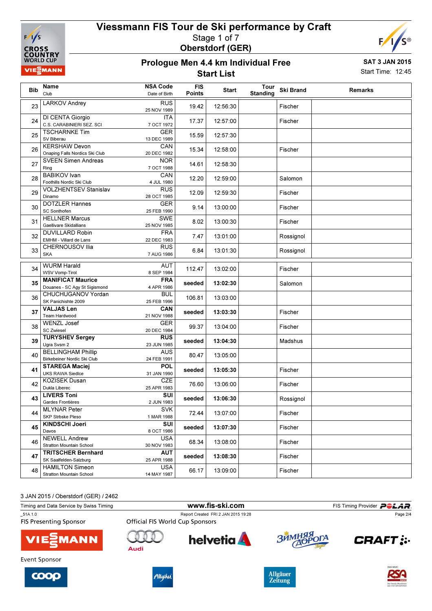



#### Prologue Men 4.4 km Individual Free Start List

SAT 3 JAN 2015 Start Time: 12:45

| Bib | Name<br>Club                                              | <b>NSA Code</b><br>Date of Birth | <b>FIS</b><br>Points | Start    | Tour<br><b>Standing</b> | <b>Ski Brand</b> | <b>Remarks</b> |
|-----|-----------------------------------------------------------|----------------------------------|----------------------|----------|-------------------------|------------------|----------------|
| 23  | <b>LARKOV Andrey</b>                                      | <b>RUS</b><br>25 NOV 1989        | 19.42                | 12:56:30 |                         | Fischer          |                |
| 24  | DI CENTA Giorgio<br>C.S. CARABINIERI SEZ. SCI             | <b>ITA</b><br>7 OCT 1972         | 17.37                | 12:57:00 |                         | Fischer          |                |
| 25  | <b>TSCHARNKE Tim</b><br>SV Biberau                        | <b>GER</b><br>13 DEC 1989        | 15.59                | 12:57:30 |                         |                  |                |
| 26  | <b>KERSHAW Devon</b><br>Onaping Falls Nordics Ski Club    | CAN<br>20 DEC 1982               | 15.34                | 12:58:00 |                         | Fischer          |                |
| 27  | <b>SVEEN Simen Andreas</b><br>Ring                        | <b>NOR</b><br>7 OCT 1988         | 14.61                | 12:58:30 |                         |                  |                |
| 28  | <b>BABIKOV</b> Ivan<br>Foothills Nordic Ski Club          | CAN<br>4 JUL 1980                | 12.20                | 12:59:00 |                         | Salomon          |                |
| 29  | <b>VOLZHENTSEV Stanislav</b><br>Dinamo                    | <b>RUS</b><br>28 OCT 1985        | 12.09                | 12:59:30 |                         | Fischer          |                |
| 30  | <b>DOTZLER Hannes</b><br><b>SC Sonthofen</b>              | <b>GER</b><br>25 FEB 1990        | 9.14                 | 13:00:00 |                         | Fischer          |                |
| 31  | <b>HELLNER Marcus</b><br>Gaellivare Skidallians           | <b>SWE</b><br>25 NOV 1985        | 8.02                 | 13:00:30 |                         | Fischer          |                |
| 32  | <b>DUVILLARD Robin</b><br>EMHM - Villard de Lans          | <b>FRA</b><br>22 DEC 1983        | 7.47                 | 13:01:00 |                         | Rossignol        |                |
| 33  | CHERNOUSOV Ilia<br><b>SKA</b>                             | <b>RUS</b><br>7 AUG 1986         | 6.84                 | 13:01:30 |                         | Rossignol        |                |
| 34  | <b>WURM Harald</b><br><b>WSV Vomp-Tirol</b>               | AUT<br>8 SEP 1984                | 112.47               | 13:02:00 |                         | Fischer          |                |
| 35  | <b>MANIFICAT Maurice</b><br>Douanes - SC Agy St Sigismond | <b>FRA</b><br>4 APR 1986         | seeded               | 13:02:30 |                         | Salomon          |                |
| 36  | CHUCHUGANOV Yordan<br>SK Panichishte 2009                 | BUL<br>25 FEB 1996               | 106.81               | 13:03:00 |                         |                  |                |
| 37  | <b>VALJAS Len</b><br>Team Hardwood                        | CAN<br>21 NOV 1988               | seeded               | 13:03:30 |                         | Fischer          |                |
| 38  | <b>WENZL Josef</b><br><b>SC Zwiesel</b>                   | <b>GER</b><br>20 DEC 1984        | 99.37                | 13:04:00 |                         | Fischer          |                |
| 39  | <b>TURYSHEV Sergey</b><br>Ugra Svsm 2                     | <b>RUS</b><br>23 JUN 1985        | seeded               | 13:04:30 |                         | Madshus          |                |
| 40  | <b>BELLINGHAM Phillip</b><br>Birkebeiner Nordic Ski Club  | <b>AUS</b><br>24 FEB 1991        | 80.47                | 13:05:00 |                         |                  |                |
| 41  | <b>STAREGA Maciej</b><br><b>UKS RAWA Siedlce</b>          | <b>POL</b><br>31 JAN 1990        | seeded               | 13:05:30 |                         | Fischer          |                |
| 42  | <b>KOZISEK Dusan</b><br>Dukla Liberec                     | <b>CZE</b><br>25 APR 1983        | 76.60                | 13:06:00 |                         | Fischer          |                |
| 43  | <b>LIVERS Toni</b><br>Gardes Frontières                   | SUI<br>2 JUN 1983                | seeded               | 13:06:30 |                         | Rossignol        |                |
| 44  | <b>MLYNAR Peter</b><br>SKP Strbske Pleso                  | SVK<br>1 MAR 1988                | 72.44                | 13:07:00 |                         | Fischer          |                |
| 45  | <b>KINDSCHI Joeri</b><br>Davos                            | SUI<br>8 OCT 1986                | seeded               | 13:07:30 |                         | Fischer          |                |
| 46  | <b>NEWELL Andrew</b><br>Stratton Mountain School          | <b>USA</b><br>30 NOV 1983        | 68.34                | 13:08:00 |                         | Fischer          |                |
| 47  | <b>TRITSCHER Bernhard</b><br>SK Saalfelden-Salzburg       | AUT<br>25 APR 1988               | seeded               | 13:08:30 |                         | Fischer          |                |
| 48  | <b>HAMILTON Simeon</b><br>Stratton Mountain School        | <b>USA</b><br>14 MAY 1987        | 66.17                | 13:09:00 |                         | Fischer          |                |

3 JAN 2015 / Oberstdorf (GER) / 2462

| 0000 THE LOTS TO DUCTS LOOT TO LITTLE OF |                                        |                                     |                                   |                                          |  |
|------------------------------------------|----------------------------------------|-------------------------------------|-----------------------------------|------------------------------------------|--|
| Timing and Data Service by Swiss Timing  | www.fis-ski.com                        |                                     |                                   | FIS Timing Provider <b>POLAR</b> .       |  |
| 51A 1.0<br><b>FIS Presenting Sponsor</b> | <b>Official FIS World Cup Sponsors</b> | Report Created FRI 2 JAN 2015 19:28 |                                   | Page 2/4                                 |  |
| <b>VIE EMANN</b>                         | Audi                                   | <b>helvetia</b>                     | ЗИМНЯЯ ОГА                        | <b>CRAFT:</b>                            |  |
| Event Sponsor                            |                                        |                                     |                                   |                                          |  |
| COOP                                     | Allgäu                                 |                                     | <b>Allgäuer</b><br><b>Zeitung</b> | <b>IDAS NEUE I</b><br>Der beste Musikmia |  |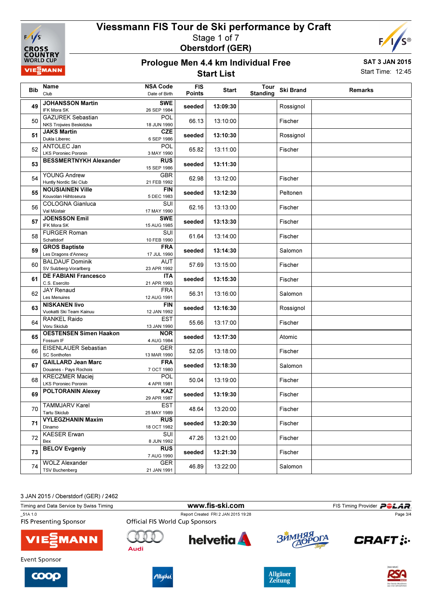



#### Prologue Men 4.4 km Individual Free Start List

SAT 3 JAN 2015 Start Time: 12:45

| Bib | Name<br>Club                                                      | <b>NSA Code</b><br>Date of Birth | <b>FIS</b><br><b>Points</b> | <b>Start</b> | Tour<br><b>Standing</b> | <b>Ski Brand</b> | Remarks |
|-----|-------------------------------------------------------------------|----------------------------------|-----------------------------|--------------|-------------------------|------------------|---------|
| 49  | <b>JOHANSSON Martin</b><br><b>IFK Mora SK</b>                     | <b>SWE</b><br>26 SEP 1984        | seeded                      | 13:09:30     |                         | Rossignol        |         |
| 50  | <b>GAZUREK Sebastian</b><br>NKS Trojwies Beskidzka                | POL<br>18 JUN 1990               | 66.13                       | 13:10:00     |                         | Fischer          |         |
| 51  | <b>JAKS Martin</b><br>Dukla Liberec                               | CZE<br>6 SEP 1986                | seeded                      | 13:10:30     |                         | Rossignol        |         |
| 52  | ANTOLEC Jan<br><b>LKS Poroniec Poronin</b>                        | POL<br>3 MAY 1990                | 65.82                       | 13:11:00     |                         | Fischer          |         |
| 53  | <b>BESSMERTNYKH Alexander</b>                                     | <b>RUS</b><br>15 SEP 1986        | seeded                      | 13:11:30     |                         |                  |         |
| 54  | <b>YOUNG Andrew</b><br>Huntly Nordic Ski Club                     | <b>GBR</b><br>21 FEB 1992        | 62.98                       | 13:12:00     |                         | Fischer          |         |
| 55  | <b>NOUSIAINEN Ville</b><br>Kouvolan Hiihtoseura                   | <b>FIN</b><br>5 DEC 1983         | seeded                      | 13:12:30     |                         | Peltonen         |         |
| 56  | COLOGNA Gianluca<br>Val Müstair                                   | SUI<br>17 MAY 1990               | 62.16                       | 13:13:00     |                         | Fischer          |         |
| 57  | <b>JOENSSON Emil</b><br>IFK Mora SK                               | <b>SWE</b><br>15 AUG 1985        | seeded                      | 13:13:30     |                         | Fischer          |         |
| 58  | <b>FURGER Roman</b><br>Schattdorf                                 | SUI<br>10 FEB 1990               | 61.64                       | 13:14:00     |                         | Fischer          |         |
| 59  | <b>GROS Baptiste</b><br>Les Dragons d'Annecy                      | <b>FRA</b><br>17 JUL 1990        | seeded                      | 13:14:30     |                         | Salomon          |         |
| 60  | <b>BALDAUF Dominik</b><br>SV Sulzberg-Vorarlberg                  | AUT<br>23 APR 1992               | 57.69                       | 13:15:00     |                         | Fischer          |         |
| 61  | <b>DE FABIANI Francesco</b><br>C.S. Esercito<br><b>JAY Renaud</b> | ITA<br>21 APR 1993<br><b>FRA</b> | seeded                      | 13:15:30     |                         | Fischer          |         |
| 62  | Les Menuires<br><b>NISKANEN livo</b>                              | 12 AUG 1991<br><b>FIN</b>        | 56.31                       | 13:16:00     |                         | Salomon          |         |
| 63  | Vuokatti Ski Team Kainuu<br><b>RANKEL Raido</b>                   | 12 JAN 1992<br><b>EST</b>        | seeded                      | 13:16:30     |                         | Rossignol        |         |
| 64  | Voru Skiclub<br><b>OESTENSEN Simen Haakon</b>                     | 13 JAN 1990<br><b>NOR</b>        | 55.66                       | 13:17:00     |                         | Fischer          |         |
| 65  | Fossum IF<br>EISENLAUER Sebastian                                 | 4 AUG 1984<br><b>GER</b>         | seeded                      | 13:17:30     |                         | Atomic           |         |
| 66  | <b>SC Sonthofen</b><br><b>GAILLARD Jean Marc</b>                  | 13 MAR 1990<br><b>FRA</b>        | 52.05                       | 13:18:00     |                         | Fischer          |         |
| 67  | Douanes - Pays Rochois<br><b>KRECZMER Maciej</b>                  | 7 OCT 1980<br>POL                | seeded                      | 13:18:30     |                         | Salomon          |         |
| 68  | <b>LKS Poroniec Poronin</b><br><b>POLTORANIN Alexey</b>           | 4 APR 1981<br><b>KAZ</b>         | 50.04                       | 13:19:00     |                         | Fischer          |         |
| 69  | <b>TAMMJARV Karel</b>                                             | 29 APR 1987<br><b>EST</b>        | seeded                      | 13:19:30     |                         | Fischer          |         |
| 70  | <b>Tartu Skiclub</b><br><b>VYLEGZHANIN Maxim</b>                  | 25 MAY 1989<br><b>RUS</b>        | 48.64                       | 13:20:00     |                         | Fischer          |         |
| 71  | Dinamo<br><b>KAESER Erwan</b>                                     | 18 OCT 1982<br>SUI               | seeded                      | 13:20:30     |                         | Fischer          |         |
| 72  | Bex<br><b>BELOV Evgeniy</b>                                       | 8 JUN 1992<br><b>RUS</b>         | 47.26                       | 13:21:00     |                         | Fischer          |         |
| 73  | <b>WOLZ Alexander</b>                                             | 7 AUG 1990<br><b>GER</b>         | seeded                      | 13:21:30     |                         | Fischer          |         |
| 74  | <b>TSV Buchenberg</b>                                             | 21 JAN 1991                      | 46.89                       | 13:22:00     |                         | Salomon          |         |

3 JAN 2015 / Oberstdorf (GER) / 2462

| Timing and Data Service by Swiss Timing  |                                                                               |                 | FIS Timing Provider <b>POLAR</b> . |                            |
|------------------------------------------|-------------------------------------------------------------------------------|-----------------|------------------------------------|----------------------------|
| 51A 1.0<br><b>FIS Presenting Sponsor</b> | Report Created FRI 2 JAN 2015 19:28<br><b>Official FIS World Cup Sponsors</b> |                 |                                    | Page 3/4                   |
| <b>VIE EMANN</b>                         | Audi                                                                          | <b>helvetia</b> | ЗЙМНЯЯ ОГА                         | <b>CRAFT:</b>              |
| Event Sponsor                            |                                                                               |                 |                                    |                            |
|                                          |                                                                               |                 | A H <sub>0</sub>                   | <b>IDAS NEUE I</b><br>DIY. |